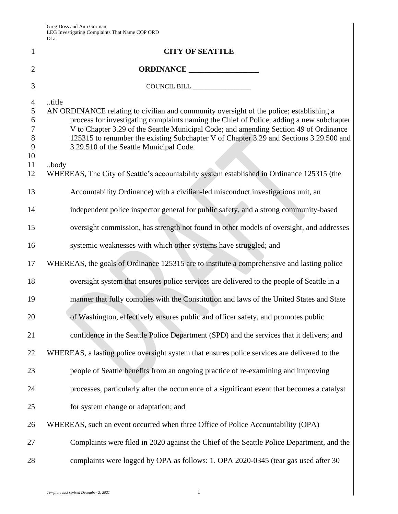| Greg Doss and Ann Gorman                       |
|------------------------------------------------|
| LEG Investigating Complaints That Name COP ORD |
| D1a                                            |

|                | D1a                                                                                                                                                                                 |
|----------------|-------------------------------------------------------------------------------------------------------------------------------------------------------------------------------------|
| $\mathbf{1}$   | <b>CITY OF SEATTLE</b>                                                                                                                                                              |
| $\overline{2}$ | ORDINANCE                                                                                                                                                                           |
| 3              |                                                                                                                                                                                     |
| $\overline{4}$ | title                                                                                                                                                                               |
| 5<br>6         | AN ORDINANCE relating to civilian and community oversight of the police; establishing a<br>process for investigating complaints naming the Chief of Police; adding a new subchapter |
| $\tau$         | V to Chapter 3.29 of the Seattle Municipal Code; and amending Section 49 of Ordinance                                                                                               |
| $8\,$<br>9     | 125315 to renumber the existing Subchapter V of Chapter 3.29 and Sections 3.29.500 and<br>3.29.510 of the Seattle Municipal Code.                                                   |
| 10             |                                                                                                                                                                                     |
| 11<br>12       | body<br>WHEREAS, The City of Seattle's accountability system established in Ordinance 125315 (the                                                                                   |
| 13             | Accountability Ordinance) with a civilian-led misconduct investigations unit, an                                                                                                    |
| 14             | independent police inspector general for public safety, and a strong community-based                                                                                                |
| 15             | oversight commission, has strength not found in other models of oversight, and addresses                                                                                            |
| 16             | systemic weaknesses with which other systems have struggled; and                                                                                                                    |
| 17             | WHEREAS, the goals of Ordinance 125315 are to institute a comprehensive and lasting police                                                                                          |
| 18             | oversight system that ensures police services are delivered to the people of Seattle in a                                                                                           |
| 19             | manner that fully complies with the Constitution and laws of the United States and State                                                                                            |
| 20             | of Washington, effectively ensures public and officer safety, and promotes public                                                                                                   |
| 21             | confidence in the Seattle Police Department (SPD) and the services that it delivers; and                                                                                            |
| 22             | WHEREAS, a lasting police oversight system that ensures police services are delivered to the                                                                                        |
| 23             | people of Seattle benefits from an ongoing practice of re-examining and improving                                                                                                   |
| 24             | processes, particularly after the occurrence of a significant event that becomes a catalyst                                                                                         |
| 25             | for system change or adaptation; and                                                                                                                                                |
| 26             | WHEREAS, such an event occurred when three Office of Police Accountability (OPA)                                                                                                    |
| 27             | Complaints were filed in 2020 against the Chief of the Seattle Police Department, and the                                                                                           |
| 28             | complaints were logged by OPA as follows: 1. OPA 2020-0345 (tear gas used after 30                                                                                                  |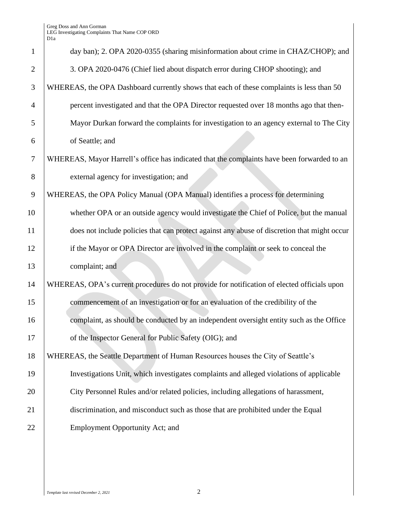|                | D 1 a                                                                                       |
|----------------|---------------------------------------------------------------------------------------------|
| $\mathbf{1}$   | day ban); 2. OPA 2020-0355 (sharing misinformation about crime in CHAZ/CHOP); and           |
| $\overline{2}$ | 3. OPA 2020-0476 (Chief lied about dispatch error during CHOP shooting); and                |
| 3              | WHEREAS, the OPA Dashboard currently shows that each of these complaints is less than 50    |
| $\overline{4}$ | percent investigated and that the OPA Director requested over 18 months ago that then-      |
| 5              | Mayor Durkan forward the complaints for investigation to an agency external to The City     |
| 6              | of Seattle; and                                                                             |
| $\overline{7}$ | WHEREAS, Mayor Harrell's office has indicated that the complaints have been forwarded to an |
| 8              | external agency for investigation; and                                                      |
| 9              | WHEREAS, the OPA Policy Manual (OPA Manual) identifies a process for determining            |
| 10             | whether OPA or an outside agency would investigate the Chief of Police, but the manual      |
| 11             | does not include policies that can protect against any abuse of discretion that might occur |
| 12             | if the Mayor or OPA Director are involved in the complaint or seek to conceal the           |
| 13             | complaint; and                                                                              |
| 14             | WHEREAS, OPA's current procedures do not provide for notification of elected officials upon |
| 15             | commencement of an investigation or for an evaluation of the credibility of the             |
| 16             | complaint, as should be conducted by an independent oversight entity such as the Office     |
| 17             | of the Inspector General for Public Safety (OIG); and                                       |
| 18             | WHEREAS, the Seattle Department of Human Resources houses the City of Seattle's             |
| 19             | Investigations Unit, which investigates complaints and alleged violations of applicable     |
| 20             | City Personnel Rules and/or related policies, including allegations of harassment,          |
| 21             | discrimination, and misconduct such as those that are prohibited under the Equal            |
| 22             | Employment Opportunity Act; and                                                             |
|                |                                                                                             |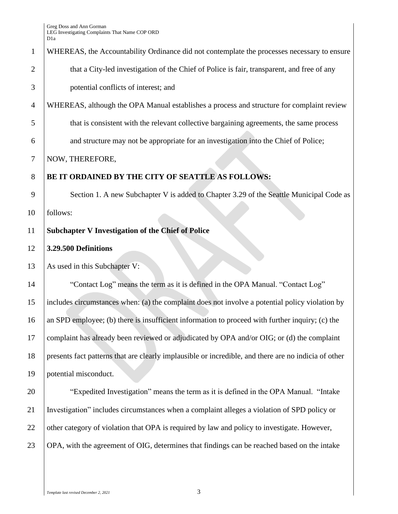# 1 WHEREAS, the Accountability Ordinance did not contemplate the processes necessary to ensure 2 that a City-led investigation of the Chief of Police is fair, transparent, and free of any 3 potential conflicts of interest; and

- 4 WHEREAS, although the OPA Manual establishes a process and structure for complaint review
- 5 that is consistent with the relevant collective bargaining agreements, the same process
- 6 and structure may not be appropriate for an investigation into the Chief of Police;

## 7 NOW, THEREFORE,

#### 8 **BE IT ORDAINED BY THE CITY OF SEATTLE AS FOLLOWS:**

9 Section 1. A new Subchapter V is added to Chapter 3.29 of the Seattle Municipal Code as 10 follows:

## 11 **Subchapter V Investigation of the Chief of Police**

## 12 **3.29.500 Definitions**

13 As used in this Subchapter V:

 "Contact Log" means the term as it is defined in the OPA Manual. "Contact Log" includes circumstances when: (a) the complaint does not involve a potential policy violation by 16 an SPD employee; (b) there is insufficient information to proceed with further inquiry; (c) the complaint has already been reviewed or adjudicated by OPA and/or OIG; or (d) the complaint presents fact patterns that are clearly implausible or incredible, and there are no indicia of other potential misconduct.

20 The "Expedited Investigation" means the term as it is defined in the OPA Manual. "Intake" 21 Investigation" includes circumstances when a complaint alleges a violation of SPD policy or 22 other category of violation that OPA is required by law and policy to investigate. However, 23 OPA, with the agreement of OIG, determines that findings can be reached based on the intake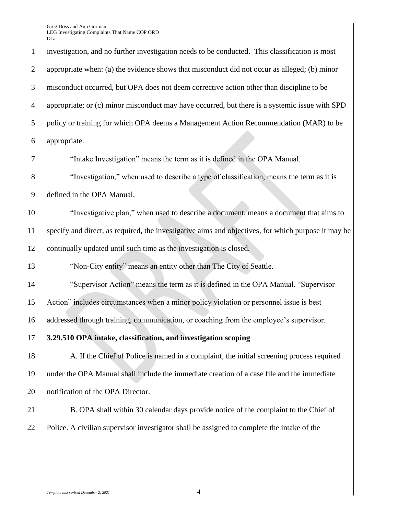investigation, and no further investigation needs to be conducted. This classification is most appropriate when: (a) the evidence shows that misconduct did not occur as alleged; (b) minor misconduct occurred, but OPA does not deem corrective action other than discipline to be appropriate; or (c) minor misconduct may have occurred, but there is a systemic issue with SPD policy or training for which OPA deems a Management Action Recommendation (MAR) to be appropriate. 7 T The "Intake Investigation" means the term as it is defined in the OPA Manual. 8 Truestigation," when used to describe a type of classification, means the term as it is defined in the OPA Manual. "Investigative plan," when used to describe a document, means a document that aims to specify and direct, as required, the investigative aims and objectives, for which purpose it may be continually updated until such time as the investigation is closed. 13 Won-City entity" means an entity other than The City of Seattle. "Supervisor Action" means the term as it is defined in the OPA Manual. "Supervisor Action" includes circumstances when a minor policy violation or personnel issue is best addressed through training, communication, or coaching from the employee's supervisor. **3.29.510 OPA intake, classification, and investigation scoping** 18 A. If the Chief of Police is named in a complaint, the initial screening process required under the OPA Manual shall include the immediate creation of a case file and the immediate 20 | notification of the OPA Director. 21 B. OPA shall within 30 calendar days provide notice of the complaint to the Chief of Police. A civilian supervisor investigator shall be assigned to complete the intake of the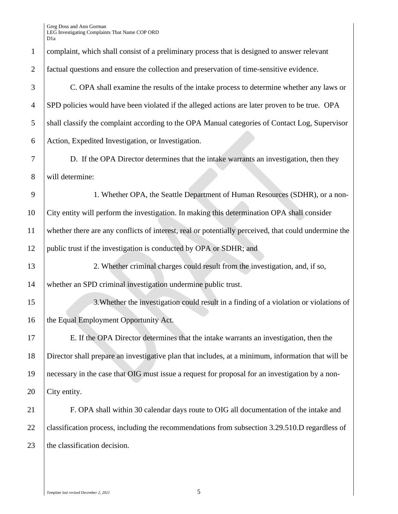| $\mathbf{1}$   | complaint, which shall consist of a preliminary process that is designed to answer relevant          |
|----------------|------------------------------------------------------------------------------------------------------|
| $\overline{2}$ | factual questions and ensure the collection and preservation of time-sensitive evidence.             |
| 3              | C. OPA shall examine the results of the intake process to determine whether any laws or              |
| $\overline{4}$ | SPD policies would have been violated if the alleged actions are later proven to be true. OPA        |
| 5              | shall classify the complaint according to the OPA Manual categories of Contact Log, Supervisor       |
| 6              | Action, Expedited Investigation, or Investigation.                                                   |
| 7              | D. If the OPA Director determines that the intake warrants an investigation, then they               |
| 8              | will determine:                                                                                      |
| 9              | 1. Whether OPA, the Seattle Department of Human Resources (SDHR), or a non-                          |
| 10             | City entity will perform the investigation. In making this determination OPA shall consider          |
| 11             | whether there are any conflicts of interest, real or potentially perceived, that could undermine the |
| 12             | public trust if the investigation is conducted by OPA or SDHR; and                                   |
| 13             | 2. Whether criminal charges could result from the investigation, and, if so,                         |
| 14             | whether an SPD criminal investigation undermine public trust.                                        |
| 15             | 3. Whether the investigation could result in a finding of a violation or violations of               |
| 16             | the Equal Employment Opportunity Act.                                                                |
| 17             | E. If the OPA Director determines that the intake warrants an investigation, then the                |
| 18             | Director shall prepare an investigative plan that includes, at a minimum, information that will be   |
| 19             | necessary in the case that OIG must issue a request for proposal for an investigation by a non-      |
| 20             | City entity.                                                                                         |
| 21             | F. OPA shall within 30 calendar days route to OIG all documentation of the intake and                |
| 22             | classification process, including the recommendations from subsection 3.29.510.D regardless of       |
| 23             | the classification decision.                                                                         |
|                |                                                                                                      |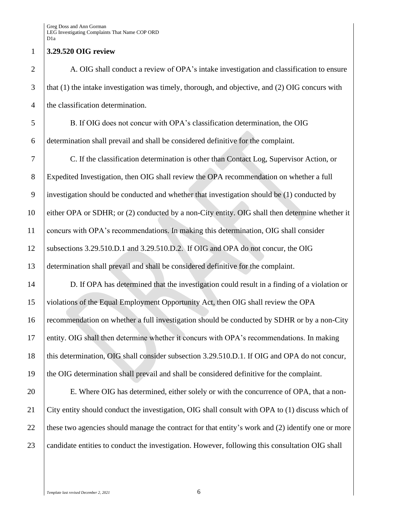#### **3.29.520 OIG review**

2 A. OIG shall conduct a review of OPA's intake investigation and classification to ensure that (1) the intake investigation was timely, thorough, and objective, and (2) OIG concurs with 4 the classification determination.

 B. If OIG does not concur with OPA's classification determination, the OIG determination shall prevail and shall be considered definitive for the complaint.

 C. If the classification determination is other than Contact Log, Supervisor Action, or Expedited Investigation, then OIG shall review the OPA recommendation on whether a full investigation should be conducted and whether that investigation should be (1) conducted by either OPA or SDHR; or (2) conducted by a non-City entity. OIG shall then determine whether it concurs with OPA's recommendations. In making this determination, OIG shall consider subsections 3.29.510.D.1 and 3.29.510.D.2. If OIG and OPA do not concur, the OIG determination shall prevail and shall be considered definitive for the complaint.

 D. If OPA has determined that the investigation could result in a finding of a violation or violations of the Equal Employment Opportunity Act, then OIG shall review the OPA recommendation on whether a full investigation should be conducted by SDHR or by a non-City entity. OIG shall then determine whether it concurs with OPA's recommendations. In making 18 this determination, OIG shall consider subsection 3.29.510.D.1. If OIG and OPA do not concur, the OIG determination shall prevail and shall be considered definitive for the complaint.

20 E. Where OIG has determined, either solely or with the concurrence of OPA, that a non- City entity should conduct the investigation, OIG shall consult with OPA to (1) discuss which of 22 these two agencies should manage the contract for that entity's work and (2) identify one or more 23 candidate entities to conduct the investigation. However, following this consultation OIG shall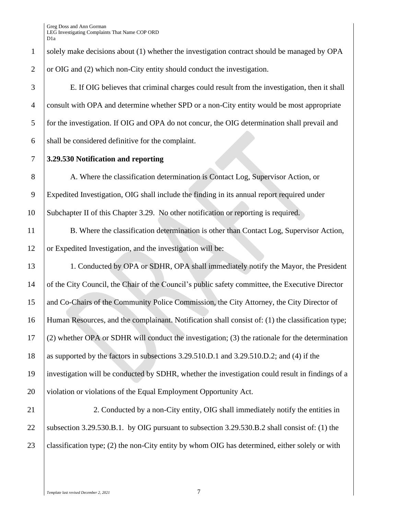| $\mathbf{1}$   | solely make decisions about (1) whether the investigation contract should be managed by OPA       |
|----------------|---------------------------------------------------------------------------------------------------|
| $\overline{2}$ | or OIG and (2) which non-City entity should conduct the investigation.                            |
| 3              | E. If OIG believes that criminal charges could result from the investigation, then it shall       |
| $\overline{4}$ | consult with OPA and determine whether SPD or a non-City entity would be most appropriate         |
| 5              | for the investigation. If OIG and OPA do not concur, the OIG determination shall prevail and      |
| 6              | shall be considered definitive for the complaint.                                                 |
| $\tau$         | 3.29.530 Notification and reporting                                                               |
| 8              | A. Where the classification determination is Contact Log, Supervisor Action, or                   |
| 9              | Expedited Investigation, OIG shall include the finding in its annual report required under        |
| 10             | Subchapter II of this Chapter 3.29. No other notification or reporting is required.               |
| 11             | B. Where the classification determination is other than Contact Log, Supervisor Action,           |
| 12             | or Expedited Investigation, and the investigation will be:                                        |
| 13             | 1. Conducted by OPA or SDHR, OPA shall immediately notify the Mayor, the President                |
| 14             | of the City Council, the Chair of the Council's public safety committee, the Executive Director   |
| 15             | and Co-Chairs of the Community Police Commission, the City Attorney, the City Director of         |
| 16             | Human Resources, and the complainant. Notification shall consist of: (1) the classification type; |
| 17             | (2) whether OPA or SDHR will conduct the investigation; (3) the rationale for the determination   |
| 18             | as supported by the factors in subsections 3.29.510.D.1 and 3.29.510.D.2; and (4) if the          |
| 19             | investigation will be conducted by SDHR, whether the investigation could result in findings of a  |
| 20             | violation or violations of the Equal Employment Opportunity Act.                                  |
| 21             | 2. Conducted by a non-City entity, OIG shall immediately notify the entities in                   |
| 22             | subsection 3.29.530.B.1. by OIG pursuant to subsection 3.29.530.B.2 shall consist of: (1) the     |
| 23             | classification type; (2) the non-City entity by whom OIG has determined, either solely or with    |
|                |                                                                                                   |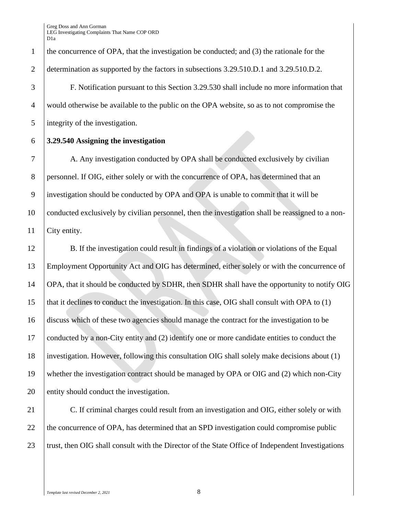1 the concurrence of OPA, that the investigation be conducted; and (3) the rationale for the 2 determination as supported by the factors in subsections 3.29.510.D.1 and 3.29.510.D.2.

3 F. Notification pursuant to this Section 3.29.530 shall include no more information that 4 would otherwise be available to the public on the OPA website, so as to not compromise the 5 integrity of the investigation.

6 **3.29.540 Assigning the investigation** 

7 A. Any investigation conducted by OPA shall be conducted exclusively by civilian 8 personnel. If OIG, either solely or with the concurrence of OPA, has determined that an 9 investigation should be conducted by OPA and OPA is unable to commit that it will be 10 conducted exclusively by civilian personnel, then the investigation shall be reassigned to a non-11 City entity.

12 B. If the investigation could result in findings of a violation or violations of the Equal Employment Opportunity Act and OIG has determined, either solely or with the concurrence of OPA, that it should be conducted by SDHR, then SDHR shall have the opportunity to notify OIG 15 | that it declines to conduct the investigation. In this case, OIG shall consult with OPA to (1) discuss which of these two agencies should manage the contract for the investigation to be conducted by a non-City entity and (2) identify one or more candidate entities to conduct the investigation. However, following this consultation OIG shall solely make decisions about (1) whether the investigation contract should be managed by OPA or OIG and (2) which non-City 20 entity should conduct the investigation.

21 C. If criminal charges could result from an investigation and OIG, either solely or with 22 the concurrence of OPA, has determined that an SPD investigation could compromise public 23 Trust, then OIG shall consult with the Director of the State Office of Independent Investigations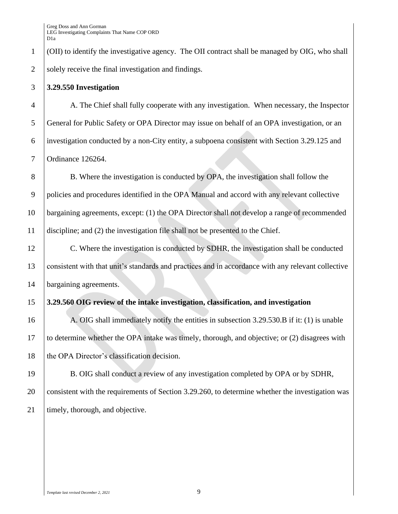(OII) to identify the investigative agency. The OII contract shall be managed by OIG, who shall solely receive the final investigation and findings.

#### **3.29.550 Investigation**

 A. The Chief shall fully cooperate with any investigation. When necessary, the Inspector General for Public Safety or OPA Director may issue on behalf of an OPA investigation, or an investigation conducted by a non-City entity, a subpoena consistent with Section 3.29.125 and Ordinance 126264.

8 B. Where the investigation is conducted by OPA, the investigation shall follow the policies and procedures identified in the OPA Manual and accord with any relevant collective bargaining agreements, except: (1) the OPA Director shall not develop a range of recommended discipline; and (2) the investigation file shall not be presented to the Chief.

 C. Where the investigation is conducted by SDHR, the investigation shall be conducted consistent with that unit's standards and practices and in accordance with any relevant collective 14 bargaining agreements.

## **3.29.560 OIG review of the intake investigation, classification, and investigation**

16 A. OIG shall immediately notify the entities in subsection 3.29.530. B if it: (1) is unable to determine whether the OPA intake was timely, thorough, and objective; or (2) disagrees with 18 the OPA Director's classification decision.

 B. OIG shall conduct a review of any investigation completed by OPA or by SDHR, consistent with the requirements of Section 3.29.260, to determine whether the investigation was 21 | timely, thorough, and objective.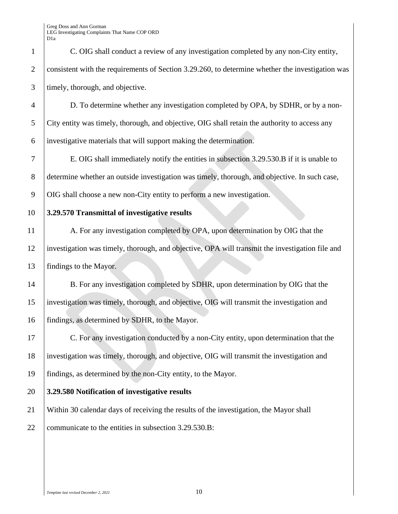|                | D <sub>1</sub> a                                                                                 |
|----------------|--------------------------------------------------------------------------------------------------|
| $\mathbf{1}$   | C. OIG shall conduct a review of any investigation completed by any non-City entity,             |
| 2              | consistent with the requirements of Section 3.29.260, to determine whether the investigation was |
| 3              | timely, thorough, and objective.                                                                 |
| $\overline{4}$ | D. To determine whether any investigation completed by OPA, by SDHR, or by a non-                |
| 5              | City entity was timely, thorough, and objective, OIG shall retain the authority to access any    |
| 6              | investigative materials that will support making the determination.                              |
| 7              | E. OIG shall immediately notify the entities in subsection 3.29.530.B if it is unable to         |
| $8\phantom{.}$ | determine whether an outside investigation was timely, thorough, and objective. In such case,    |
| 9              | OIG shall choose a new non-City entity to perform a new investigation.                           |
| 10             | 3.29.570 Transmittal of investigative results                                                    |
| 11             | A. For any investigation completed by OPA, upon determination by OIG that the                    |
| 12             | investigation was timely, thorough, and objective, OPA will transmit the investigation file and  |
| 13             | findings to the Mayor.                                                                           |
| 14             | B. For any investigation completed by SDHR, upon determination by OIG that the                   |
| 15             | investigation was timely, thorough, and objective, OIG will transmit the investigation and       |
| 16             | findings, as determined by SDHR, to the Mayor.                                                   |
| 17             | C. For any investigation conducted by a non-City entity, upon determination that the             |
| 18             | investigation was timely, thorough, and objective, OIG will transmit the investigation and       |
| 19             | findings, as determined by the non-City entity, to the Mayor.                                    |
| 20             | 3.29.580 Notification of investigative results                                                   |
| 21             | Within 30 calendar days of receiving the results of the investigation, the Mayor shall           |
| 22             | communicate to the entities in subsection 3.29.530.B:                                            |
|                |                                                                                                  |
|                |                                                                                                  |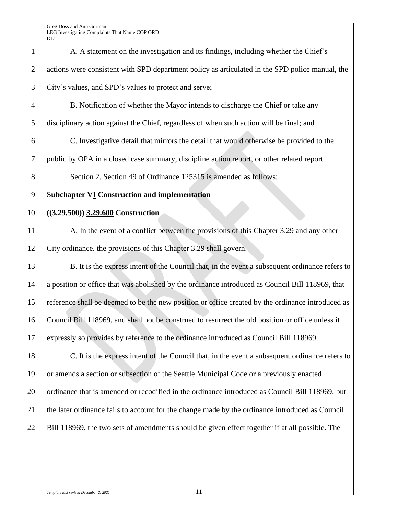Greg Doss and Ann Gorman OP ORD

|                | LEG Investigating Complaints That Name COP ORD<br>D1a                                             |
|----------------|---------------------------------------------------------------------------------------------------|
| $\mathbf{1}$   | A. A statement on the investigation and its findings, including whether the Chief's               |
| $\overline{2}$ | actions were consistent with SPD department policy as articulated in the SPD police manual, the   |
| 3              | City's values, and SPD's values to protect and serve;                                             |
| 4              | B. Notification of whether the Mayor intends to discharge the Chief or take any                   |
| 5              | disciplinary action against the Chief, regardless of when such action will be final; and          |
| 6              | C. Investigative detail that mirrors the detail that would otherwise be provided to the           |
| $\tau$         | public by OPA in a closed case summary, discipline action report, or other related report.        |
| 8              | Section 2. Section 49 of Ordinance 125315 is amended as follows:                                  |
| 9              | <b>Subchapter VI Construction and implementation</b>                                              |
| 10             | $((3.29.500))$ 3.29.600 Construction                                                              |
| 11             | A. In the event of a conflict between the provisions of this Chapter 3.29 and any other           |
| 12             | City ordinance, the provisions of this Chapter 3.29 shall govern.                                 |
| 13             | B. It is the express intent of the Council that, in the event a subsequent ordinance refers to    |
| 14             | a position or office that was abolished by the ordinance introduced as Council Bill 118969, that  |
| 15             | reference shall be deemed to be the new position or office created by the ordinance introduced as |
| 16             | Council Bill 118969, and shall not be construed to resurrect the old position or office unless it |
| 17             | expressly so provides by reference to the ordinance introduced as Council Bill 118969.            |
| 18             | C. It is the express intent of the Council that, in the event a subsequent ordinance refers to    |
| 19             | or amends a section or subsection of the Seattle Municipal Code or a previously enacted           |
| 20             | ordinance that is amended or recodified in the ordinance introduced as Council Bill 118969, but   |
| 21             | the later ordinance fails to account for the change made by the ordinance introduced as Council   |
| 22             | Bill 118969, the two sets of amendments should be given effect together if at all possible. The   |

20 | ordinance that is amended or recodified in the ordinance introduced as Council Bill 118969, but 21 the later ordinance fails to account for the change made by the ordinance introduced as Council 22 Bill 118969, the two sets of amendments should be given effect together if at all possible. The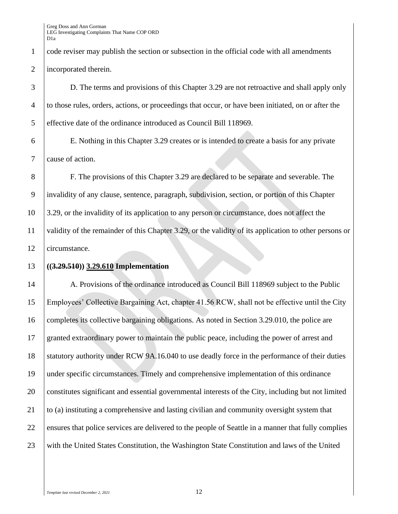code reviser may publish the section or subsection in the official code with all amendments incorporated therein.

 D. The terms and provisions of this Chapter 3.29 are not retroactive and shall apply only to those rules, orders, actions, or proceedings that occur, or have been initiated, on or after the effective date of the ordinance introduced as Council Bill 118969.

 E. Nothing in this Chapter 3.29 creates or is intended to create a basis for any private cause of action.

 F. The provisions of this Chapter 3.29 are declared to be separate and severable. The invalidity of any clause, sentence, paragraph, subdivision, section, or portion of this Chapter 3.29, or the invalidity of its application to any person or circumstance, does not affect the validity of the remainder of this Chapter 3.29, or the validity of its application to other persons or circumstance.

#### **((3.29.510)) 3.29.610 Implementation**

14 A. Provisions of the ordinance introduced as Council Bill 118969 subject to the Public Employees' Collective Bargaining Act, chapter 41.56 RCW, shall not be effective until the City 16 completes its collective bargaining obligations. As noted in Section 3.29.010, the police are granted extraordinary power to maintain the public peace, including the power of arrest and 18 Statutory authority under RCW 9A.16.040 to use deadly force in the performance of their duties under specific circumstances. Timely and comprehensive implementation of this ordinance constitutes significant and essential governmental interests of the City, including but not limited 21 to (a) instituting a comprehensive and lasting civilian and community oversight system that 22 ensures that police services are delivered to the people of Seattle in a manner that fully complies 23 with the United States Constitution, the Washington State Constitution and laws of the United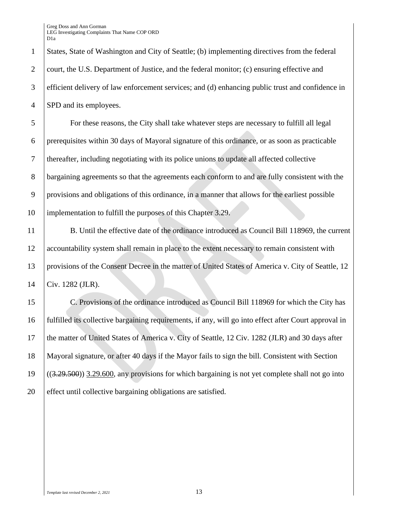1 States, State of Washington and City of Seattle; (b) implementing directives from the federal 2 court, the U.S. Department of Justice, and the federal monitor; (c) ensuring effective and 3 efficient delivery of law enforcement services; and (d) enhancing public trust and confidence in 4 SPD and its employees.

 For these reasons, the City shall take whatever steps are necessary to fulfill all legal prerequisites within 30 days of Mayoral signature of this ordinance, or as soon as practicable thereafter, including negotiating with its police unions to update all affected collective bargaining agreements so that the agreements each conform to and are fully consistent with the provisions and obligations of this ordinance, in a manner that allows for the earliest possible implementation to fulfill the purposes of this Chapter 3.29.

11 B. Until the effective date of the ordinance introduced as Council Bill 118969, the current 12 accountability system shall remain in place to the extent necessary to remain consistent with 13 | provisions of the Consent Decree in the matter of United States of America v. City of Seattle, 12 14 Civ. 1282 (JLR).

 C. Provisions of the ordinance introduced as Council Bill 118969 for which the City has fulfilled its collective bargaining requirements, if any, will go into effect after Court approval in 17 the matter of United States of America v. City of Seattle, 12 Civ. 1282 (JLR) and 30 days after Mayoral signature, or after 40 days if the Mayor fails to sign the bill. Consistent with Section ((3.29.500)) 3.29.600, any provisions for which bargaining is not yet complete shall not go into 20 effect until collective bargaining obligations are satisfied.

*Template last revised December 2, 2021* 13